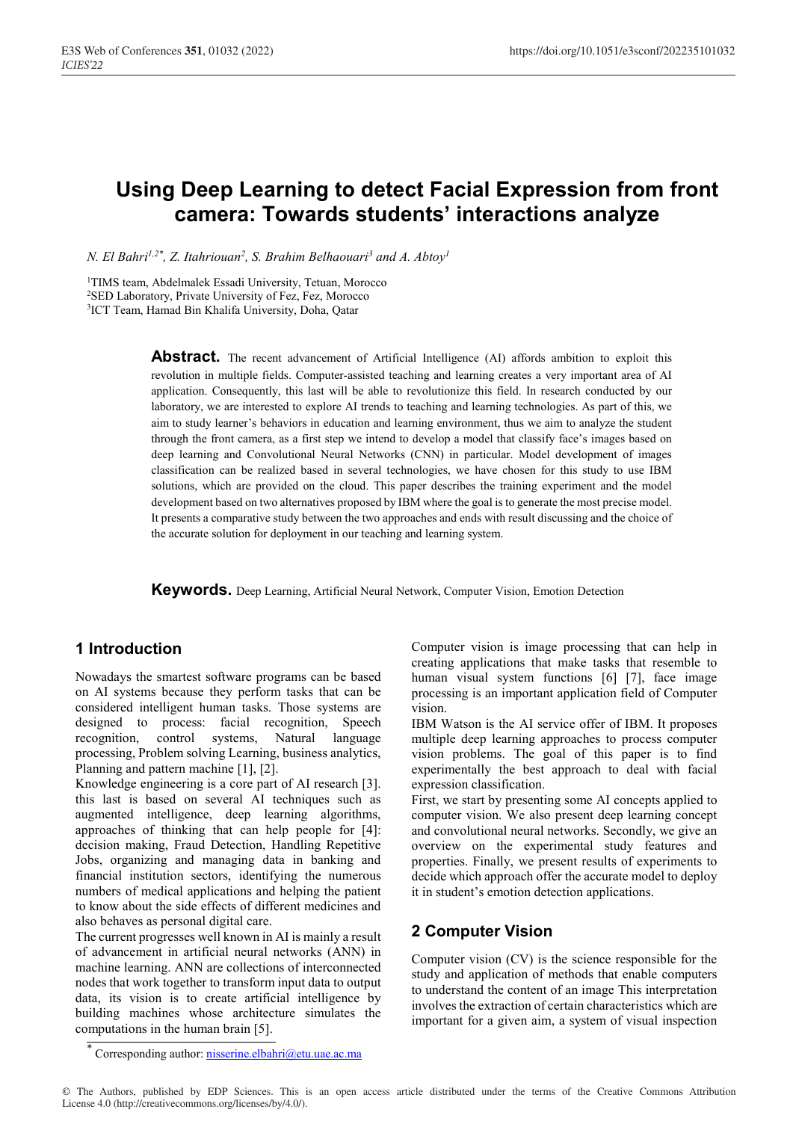# **Using Deep Learning to detect Facial Expression from front camera: Towards students' interactions analyze**

*N. El Bahri<sup>1,2\*</sup>, Z. Itahriouan<sup>2</sup>, S. Brahim Belhaouari<sup>3</sup> and A. Abtoy<sup>1</sup>* 

1TIMS team, Abdelmalek Essadi University, Tetuan, Morocco 2SED Laboratory, Private University of Fez, Fez, Morocco 3ICT Team, Hamad Bin Khalifa University, Doha, Qatar

> **Abstract.** The recent advancement of Artificial Intelligence (AI) affords ambition to exploit this revolution in multiple fields. Computer-assisted teaching and learning creates a very important area of AI application. Consequently, this last will be able to revolutionize this field. In research conducted by our laboratory, we are interested to explore AI trends to teaching and learning technologies. As part of this, we aim to study learner's behaviors in education and learning environment, thus we aim to analyze the student through the front camera, as a first step we intend to develop a model that classify face's images based on deep learning and Convolutional Neural Networks (CNN) in particular. Model development of images classification can be realized based in several technologies, we have chosen for this study to use IBM solutions, which are provided on the cloud. This paper describes the training experiment and the model development based on two alternatives proposed by IBM where the goal is to generate the most precise model. It presents a comparative study between the two approaches and ends with result discussing and the choice of the accurate solution for deployment in our teaching and learning system.

**Keywords.** Deep Learning, Artificial Neural Network, Computer Vision, Emotion Detection

# **1 Introduction**

Nowadays the smartest software programs can be based on AI systems because they perform tasks that can be considered intelligent human tasks. Those systems are designed to process: facial recognition, Speech recognition, control systems, Natural language processing, Problem solving Learning, business analytics, Planning and pattern machine [1], [2].

Knowledge engineering is a core part of AI research [3]. this last is based on several AI techniques such as augmented intelligence, deep learning algorithms, approaches of thinking that can help people for [4]: decision making, Fraud Detection, Handling Repetitive Jobs, organizing and managing data in banking and financial institution sectors, identifying the numerous numbers of medical applications and helping the patient to know about the side effects of different medicines and also behaves as personal digital care.

The current progresses well known in AI is mainly a result of advancement in artificial neural networks (ANN) in machine learning. ANN are collections of interconnected nodes that work together to transform input data to output data, its vision is to create artificial intelligence by building machines whose architecture simulates the computations in the human brain [5].

Computer vision is image processing that can help in creating applications that make tasks that resemble to human visual system functions [6] [7], face image processing is an important application field of Computer vision.

IBM Watson is the AI service offer of IBM. It proposes multiple deep learning approaches to process computer vision problems. The goal of this paper is to find experimentally the best approach to deal with facial expression classification.

First, we start by presenting some AI concepts applied to computer vision. We also present deep learning concept and convolutional neural networks. Secondly, we give an overview on the experimental study features and properties. Finally, we present results of experiments to decide which approach offer the accurate model to deploy it in student's emotion detection applications.

# **2 Computer Vision**

Computer vision (CV) is the science responsible for the study and application of methods that enable computers to understand the content of an image This interpretation involves the extraction of certain characteristics which are important for a given aim, a system of visual inspection

© The Authors, published by EDP Sciences. This is an open access article distributed under the terms of the Creative Commons Attribution License 4.0 (http://creativecommons.org/licenses/by/4.0/).

Corresponding author: nisserine.elbahri@etu.uae.ac.ma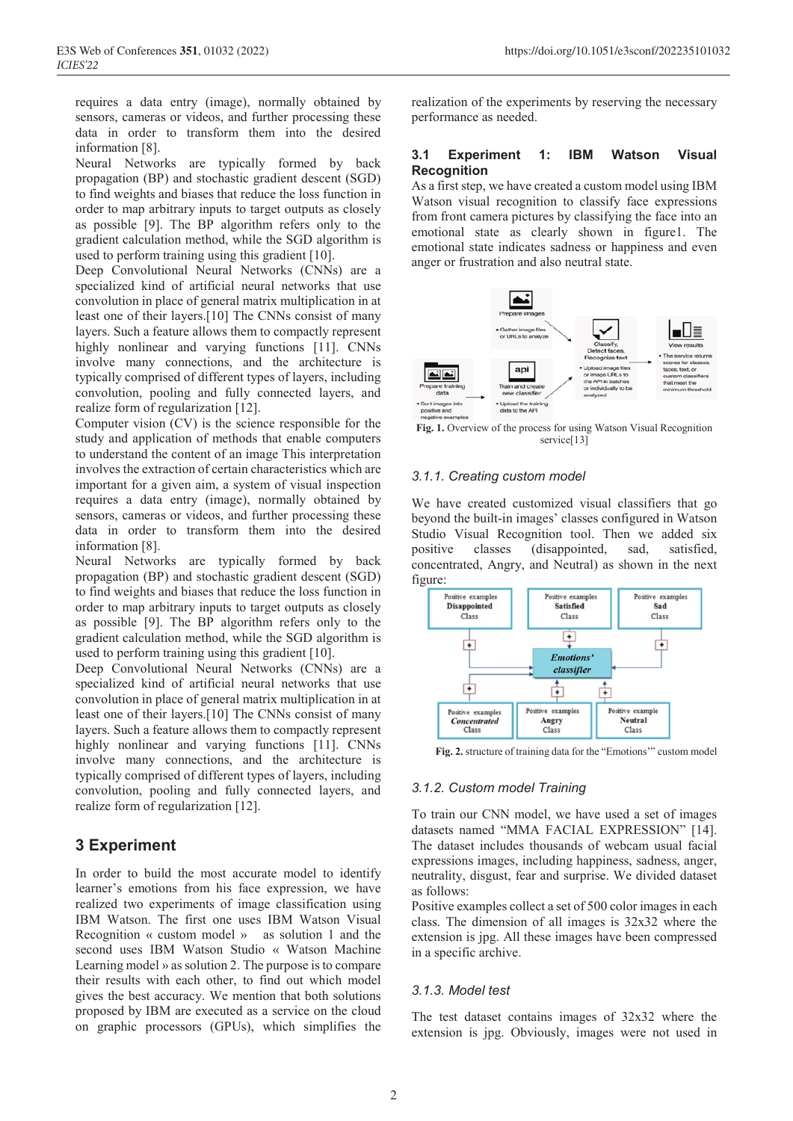requires a data entry (image), normally obtained by sensors, cameras or videos, and further processing these data in order to transform them into the desired information [8].

Neural Networks are typically formed by back propagation (BP) and stochastic gradient descent (SGD) to find weights and biases that reduce the loss function in order to map arbitrary inputs to target outputs as closely as possible [9]. The BP algorithm refers only to the gradient calculation method, while the SGD algorithm is used to perform training using this gradient [10].

Deep Convolutional Neural Networks (CNNs) are a specialized kind of artificial neural networks that use convolution in place of general matrix multiplication in at least one of their layers.[10] The CNNs consist of many layers. Such a feature allows them to compactly represent highly nonlinear and varying functions [11]. CNNs involve many connections, and the architecture is typically comprised of different types of layers, including convolution, pooling and fully connected layers, and realize form of regularization [12].

Computer vision (CV) is the science responsible for the study and application of methods that enable computers to understand the content of an image This interpretation involves the extraction of certain characteristics which are important for a given aim, a system of visual inspection requires a data entry (image), normally obtained by sensors, cameras or videos, and further processing these data in order to transform them into the desired information [8].

Neural Networks are typically formed by back propagation (BP) and stochastic gradient descent (SGD) to find weights and biases that reduce the loss function in order to map arbitrary inputs to target outputs as closely as possible [9]. The BP algorithm refers only to the gradient calculation method, while the SGD algorithm is used to perform training using this gradient [10].

Deep Convolutional Neural Networks (CNNs) are a specialized kind of artificial neural networks that use convolution in place of general matrix multiplication in at least one of their layers.[10] The CNNs consist of many layers. Such a feature allows them to compactly represent highly nonlinear and varying functions [11]. CNNs involve many connections, and the architecture is typically comprised of different types of layers, including convolution, pooling and fully connected layers, and realize form of regularization [12].

# **3 Experiment**

In order to build the most accurate model to identify learner's emotions from his face expression, we have realized two experiments of image classification using IBM Watson. The first one uses IBM Watson Visual Recognition « custom model » as solution 1 and the second uses IBM Watson Studio « Watson Machine Learning model » as solution 2. The purpose is to compare their results with each other, to find out which model gives the best accuracy. We mention that both solutions proposed by IBM are executed as a service on the cloud on graphic processors (GPUs), which simplifies the

realization of the experiments by reserving the necessary performance as needed.

## **3.1 Experiment 1: IBM Watson Visual Recognition**

As a first step, we have created a custom model using IBM Watson visual recognition to classify face expressions from front camera pictures by classifying the face into an emotional state as clearly shown in figure1. The emotional state indicates sadness or happiness and even anger or frustration and also neutral state.



**Fig. 1.** Overview of the process for using Watson Visual Recognition service<sup>[13]</sup>

## *3.1.1. Creating custom model*

We have created customized visual classifiers that go beyond the built-in images' classes configured in Watson Studio Visual Recognition tool. Then we added six positive classes (disappointed, sad, satisfied, concentrated, Angry, and Neutral) as shown in the next figure:



**Fig. 2.** structure of training data for the "Emotions'" custom model

## *3.1.2. Custom model Training*

To train our CNN model, we have used a set of images datasets named "MMA FACIAL EXPRESSION" [14]. The dataset includes thousands of webcam usual facial expressions images, including happiness, sadness, anger, neutrality, disgust, fear and surprise. We divided dataset as follows:

Positive examples collect a set of 500 color images in each class. The dimension of all images is 32x32 where the extension is jpg. All these images have been compressed in a specific archive.

## *3.1.3. Model test*

The test dataset contains images of 32x32 where the extension is jpg. Obviously, images were not used in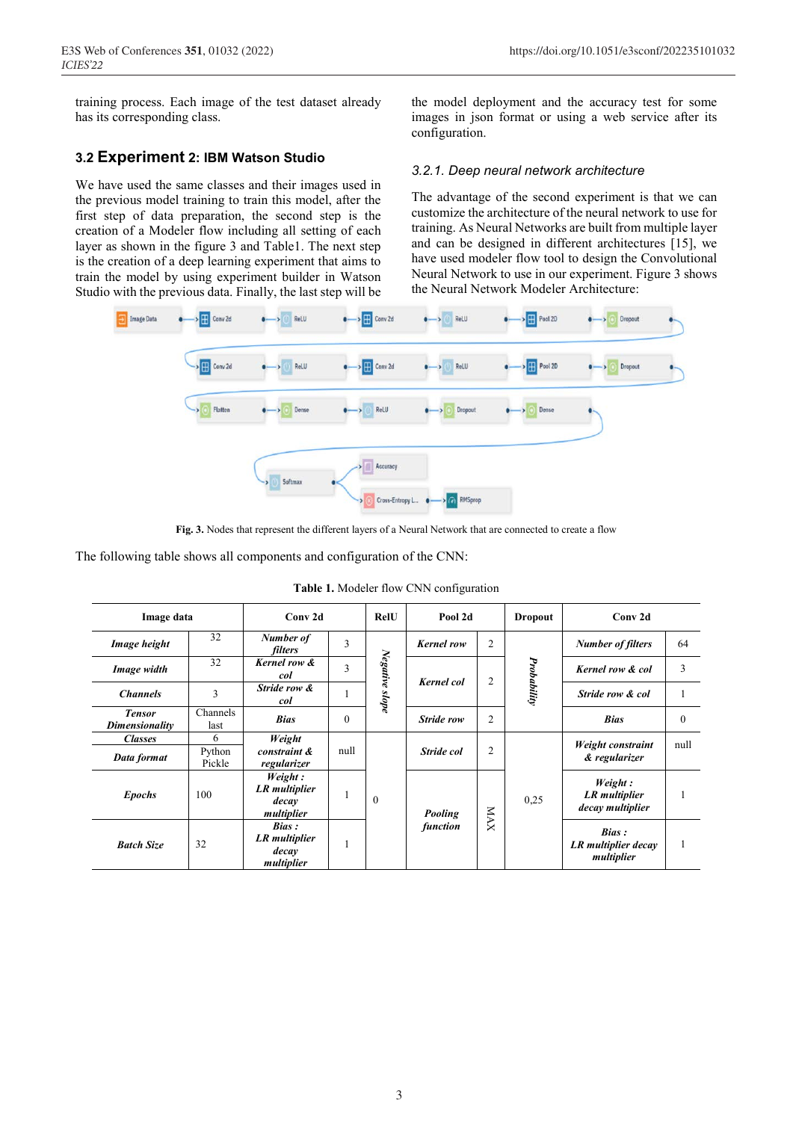training process. Each image of the test dataset already has its corresponding class.

## **3.2 Experiment 2: IBM Watson Studio**

We have used the same classes and their images used in the previous model training to train this model, after the first step of data preparation, the second step is the creation of a Modeler flow including all setting of each layer as shown in the figure 3 and Table1. The next step is the creation of a deep learning experiment that aims to train the model by using experiment builder in Watson Studio with the previous data. Finally, the last step will be the model deployment and the accuracy test for some images in json format or using a web service after its configuration.

## *3.2.1. Deep neural network architecture*

The advantage of the second experiment is that we can customize the architecture of the neural network to use for training. As Neural Networks are built from multiple layer and can be designed in different architectures [15], we have used modeler flow tool to design the Convolutional Neural Network to use in our experiment. Figure 3 shows the Neural Network Modeler Architecture:



**Fig. 3.** Nodes that represent the different layers of a Neural Network that are connected to create a flow

The following table shows all components and configuration of the CNN:

| Image data                      |                                                     | Conv <sub>2d</sub>                                     |          | <b>RelU</b>    | Pool 2d           |                | <b>Dropout</b> | Conv <sub>2d</sub>                                 |              |
|---------------------------------|-----------------------------------------------------|--------------------------------------------------------|----------|----------------|-------------------|----------------|----------------|----------------------------------------------------|--------------|
| Image height                    | 32                                                  | Number of<br>filters                                   | 3        |                | <b>Kernel row</b> | 2              |                | <b>Number of filters</b>                           | 64           |
| Image width                     | 32                                                  | Kernel row &<br>col                                    | 3        | Negative slope | <b>Kernel</b> col | 2              | Probability    | Kernel row & col                                   | 3            |
| <b>Channels</b>                 | 3                                                   | Stride row &<br>col                                    |          |                |                   |                |                | Stride row & col                                   |              |
| <b>Tensor</b><br>Dimensionality | Channels<br>last                                    | <b>Bias</b>                                            | $\theta$ |                | Stride row        | $\overline{2}$ |                | <b>Bias</b>                                        | $\mathbf{0}$ |
| <b>Classes</b>                  | 6                                                   | Weight                                                 |          |                |                   |                |                | Weight constraint                                  | null         |
| Data format                     | Python<br>Pickle                                    | constraint &<br>regularizer                            |          | null           | Stride col        | $\overline{2}$ |                | & regularizer                                      |              |
| <b>Epochs</b>                   | 100                                                 | Weight:<br><b>LR</b> multiplier<br>decay<br>multiplier |          | $\mathbf{0}$   | <b>Pooling</b>    | <b>NAX</b>     | 0,25           | Weight:<br>LR multiplier<br>decay multiplier       |              |
| <b>Batch Size</b>               | Bias:<br>LR multiplier<br>32<br>decay<br>multiplier |                                                        |          |                | function          |                |                | <b>Bias</b> :<br>LR multiplier decay<br>multiplier | п.           |

**Table 1.** Modeler flow CNN configuration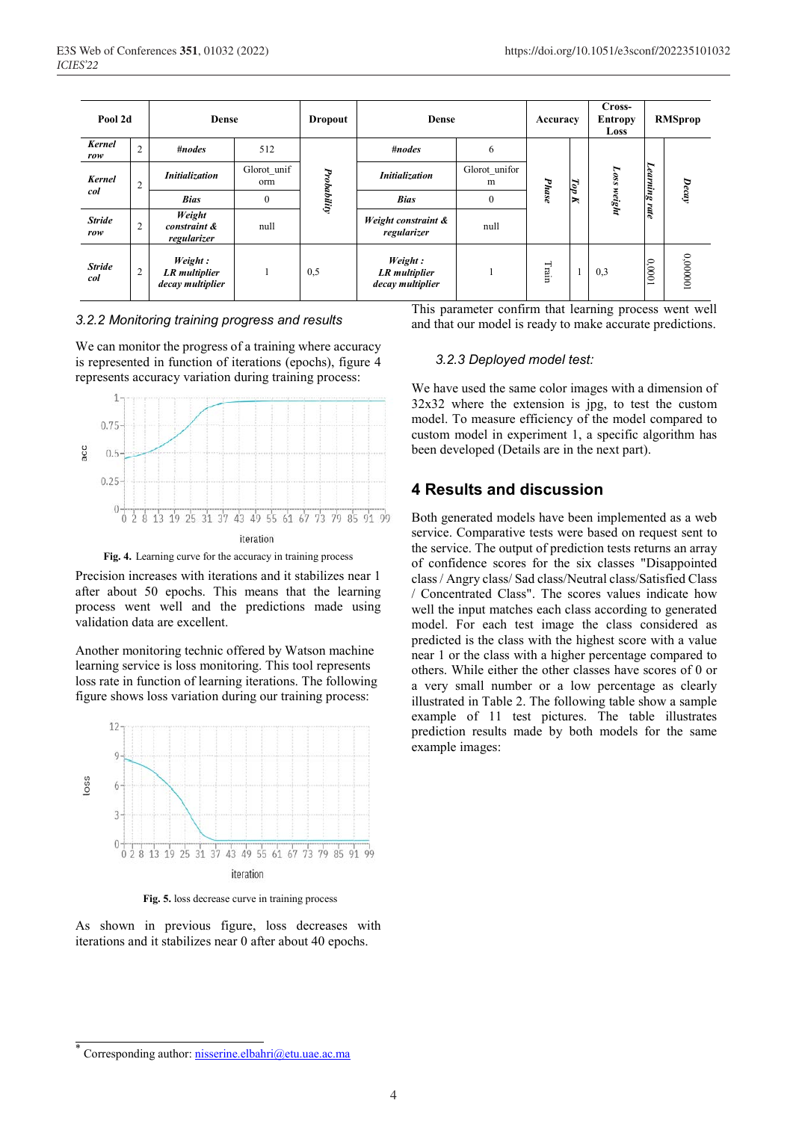| Pool 2d              |                | Dense                                               |                    | <b>Dropout</b> | Dense                                               |                    | Accuracy      |                | Cross-<br><b>Entropy</b><br>Loss | <b>RMSprop</b> |          |
|----------------------|----------------|-----------------------------------------------------|--------------------|----------------|-----------------------------------------------------|--------------------|---------------|----------------|----------------------------------|----------------|----------|
| <b>Kernel</b><br>row | $\overline{2}$ | $\#nodes$                                           | 512                |                | #nodes                                              | 6                  |               |                |                                  |                |          |
| <b>Kernel</b>        | 2              | <b>Initialization</b>                               | Glorot unif<br>orm | Probability    | Initialization                                      | Glorot_unifor<br>m |               | Top            | Loss                             | Learning       |          |
| col                  |                | <b>Bias</b>                                         | $\mathbf{0}$       |                | <b>Bias</b>                                         | $\mathbf{0}$       | Phase         | $\blacksquare$ | weight                           | rate           | Decay    |
| <b>Stride</b><br>row | 2              | Weight<br>constraint &<br>regularizer               | null               |                | Weight constraint &<br>regularizer                  | null               |               |                |                                  |                |          |
| <b>Stride</b><br>col | 2              | Weight:<br><b>LR</b> multiplier<br>decay multiplier |                    | 0,5            | Weight:<br><b>LR</b> multiplier<br>decay multiplier |                    | $\Gamma$ rain |                | 0,3                              | 100000         | 100000'0 |

#### *3.2.2 Monitoring training progress and results*

We can monitor the progress of a training where accuracy is represented in function of iterations (epochs), figure 4 represents accuracy variation during training process:



**Fig. 4.** Learning curve for the accuracy in training process

Precision increases with iterations and it stabilizes near 1 after about 50 epochs. This means that the learning process went well and the predictions made using validation data are excellent.

Another monitoring technic offered by Watson machine learning service is loss monitoring. This tool represents loss rate in function of learning iterations. The following figure shows loss variation during our training process:



**Fig. 5.** loss decrease curve in training process

As shown in previous figure, loss decreases with iterations and it stabilizes near 0 after about 40 epochs.

This parameter confirm that learning process went well and that our model is ready to make accurate predictions.

#### *3.2.3 Deployed model test:*

We have used the same color images with a dimension of 32x32 where the extension is jpg, to test the custom model. To measure efficiency of the model compared to custom model in experiment 1, a specific algorithm has been developed (Details are in the next part).

# **4 Results and discussion**

Both generated models have been implemented as a web service. Comparative tests were based on request sent to the service. The output of prediction tests returns an array of confidence scores for the six classes "Disappointed class / Angry class/ Sad class/Neutral class/Satisfied Class / Concentrated Class". The scores values indicate how well the input matches each class according to generated model. For each test image the class considered as predicted is the class with the highest score with a value near 1 or the class with a higher percentage compared to others. While either the other classes have scores of 0 or a very small number or a low percentage as clearly illustrated in Table 2. The following table show a sample example of 11 test pictures. The table illustrates prediction results made by both models for the same example images:

Corresponding author: nisserine.elbahri@etu.uae.ac.ma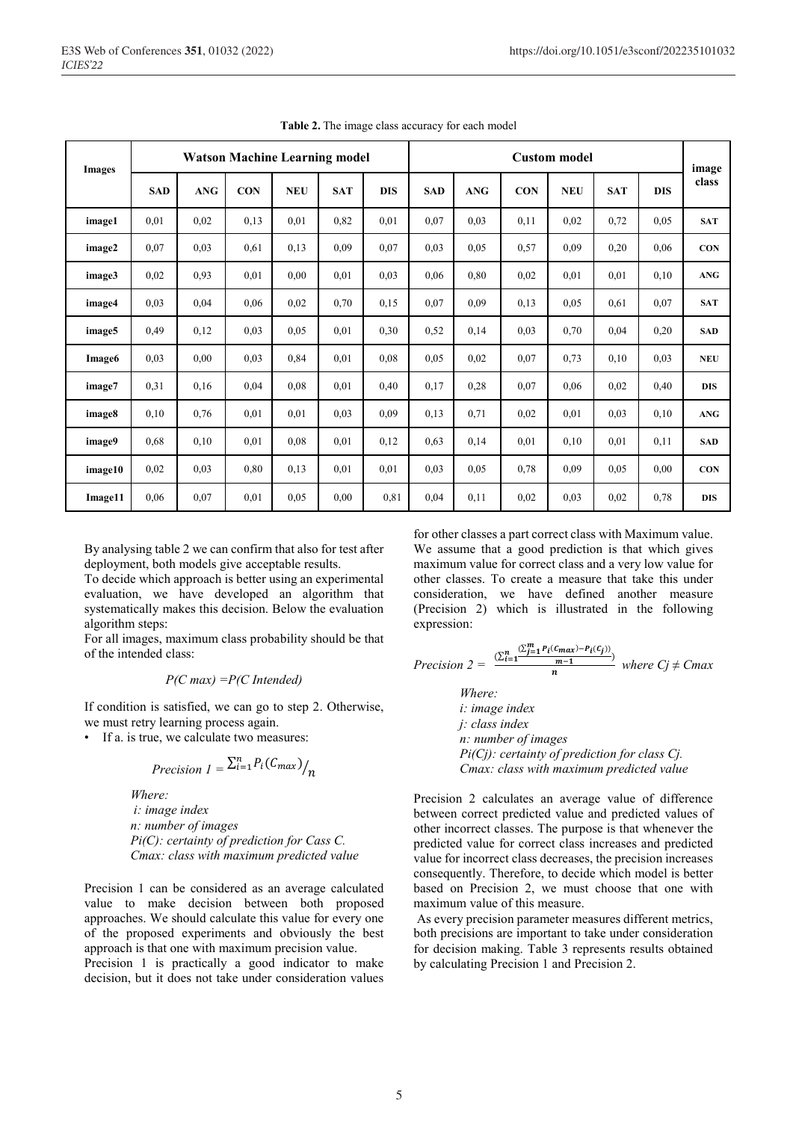| <b>Images</b> | <b>Watson Machine Learning model</b> |            |            |            |            |            |            | <b>Custom model</b> |            |            |            |            |                |
|---------------|--------------------------------------|------------|------------|------------|------------|------------|------------|---------------------|------------|------------|------------|------------|----------------|
|               | <b>SAD</b>                           | <b>ANG</b> | <b>CON</b> | <b>NEU</b> | <b>SAT</b> | <b>DIS</b> | <b>SAD</b> | <b>ANG</b>          | <b>CON</b> | <b>NEU</b> | <b>SAT</b> | <b>DIS</b> | image<br>class |
| image1        | 0.01                                 | 0,02       | 0,13       | 0,01       | 0,82       | 0,01       | 0,07       | 0,03                | 0,11       | 0,02       | 0,72       | 0,05       | <b>SAT</b>     |
| image2        | 0,07                                 | 0,03       | 0,61       | 0,13       | 0,09       | 0,07       | 0.03       | 0.05                | 0,57       | 0,09       | 0,20       | 0,06       | <b>CON</b>     |
| image3        | 0,02                                 | 0,93       | 0,01       | 0.00       | 0,01       | 0,03       | 0,06       | 0,80                | 0,02       | 0,01       | 0.01       | 0,10       | <b>ANG</b>     |
| image4        | 0.03                                 | 0,04       | 0,06       | 0,02       | 0,70       | 0,15       | 0,07       | 0,09                | 0,13       | 0,05       | 0,61       | 0,07       | <b>SAT</b>     |
| image5        | 0,49                                 | 0,12       | 0,03       | 0,05       | 0,01       | 0,30       | 0,52       | 0,14                | 0.03       | 0,70       | 0.04       | 0,20       | <b>SAD</b>     |
| Image6        | 0.03                                 | 0,00       | 0,03       | 0,84       | 0.01       | 0.08       | 0,05       | 0,02                | 0,07       | 0,73       | 0,10       | 0,03       | <b>NEU</b>     |
| image7        | 0,31                                 | 0,16       | 0,04       | 0.08       | 0,01       | 0,40       | 0,17       | 0,28                | 0,07       | 0,06       | 0,02       | 0,40       | <b>DIS</b>     |
| image8        | 0,10                                 | 0,76       | 0,01       | 0,01       | 0,03       | 0,09       | 0,13       | 0,71                | 0,02       | 0,01       | 0,03       | 0,10       | <b>ANG</b>     |
| image9        | 0.68                                 | 0,10       | 0,01       | 0.08       | 0,01       | 0,12       | 0,63       | 0,14                | 0.01       | 0,10       | 0.01       | 0,11       | <b>SAD</b>     |
| image10       | 0,02                                 | 0,03       | 0,80       | 0,13       | 0,01       | 0,01       | 0,03       | 0,05                | 0,78       | 0,09       | 0.05       | 0,00       | <b>CON</b>     |
| Image11       | 0,06                                 | 0,07       | 0,01       | 0.05       | 0,00       | 0,81       | 0.04       | 0,11                | 0,02       | 0,03       | 0.02       | 0,78       | <b>DIS</b>     |

**Table 2.** The image class accuracy for each model

By analysing table 2 we can confirm that also for test after deployment, both models give acceptable results.

To decide which approach is better using an experimental evaluation, we have developed an algorithm that systematically makes this decision. Below the evaluation algorithm steps:

For all images, maximum class probability should be that of the intended class:

*P(C max) =P(C Intended)*

If condition is satisfied, we can go to step 2. Otherwise, we must retry learning process again.

• If a. is true, we calculate two measures:

$$
Precision \; I = \frac{\sum_{i=1}^{n} P_i(C_{max})}{n}
$$

*Where:*

*i: image index n: number of images Pi(C): certainty of prediction for Cass C. Cmax: class with maximum predicted value*

Precision 1 can be considered as an average calculated value to make decision between both proposed approaches. We should calculate this value for every one of the proposed experiments and obviously the best approach is that one with maximum precision value.

Precision 1 is practically a good indicator to make decision, but it does not take under consideration values

for other classes a part correct class with Maximum value. We assume that a good prediction is that which gives maximum value for correct class and a very low value for other classes. To create a measure that take this under consideration, we have defined another measure (Precision 2) which is illustrated in the following expression:

$$
Precision 2 = \frac{\sum_{i=1}^{n} \frac{\sum_{j=1}^{m} P_i(c_{max}) - P_i(c_j))}{m}}{n}
$$
 where  $Cj \neq C$ 

*Where: i: image index j: class index n: number of images Pi(Cj): certainty of prediction for class Cj. Cmax: class with maximum predicted value*

Precision 2 calculates an average value of difference between correct predicted value and predicted values of other incorrect classes. The purpose is that whenever the predicted value for correct class increases and predicted value for incorrect class decreases, the precision increases consequently. Therefore, to decide which model is better based on Precision 2, we must choose that one with maximum value of this measure.

As every precision parameter measures different metrics, both precisions are important to take under consideration for decision making. Table 3 represents results obtained by calculating Precision 1 and Precision 2.